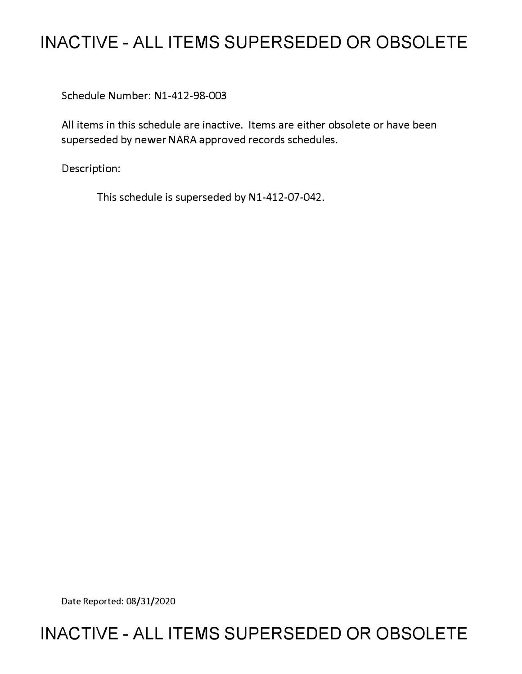# **INACTIVE - ALL ITEMS SUPERSEDED OR OBSOLETE**

Schedule Number: Nl-412-98-003

All items in this schedule are inactive. Items are either obsolete or have been superseded by newer NARA approved records schedules.

Description:

This schedule is superseded by Nl-412-07-042.

Date Reported: 08/31/2020

# **INACTIVE - ALL ITEMS SUPERSEDED OR OBSOLETE**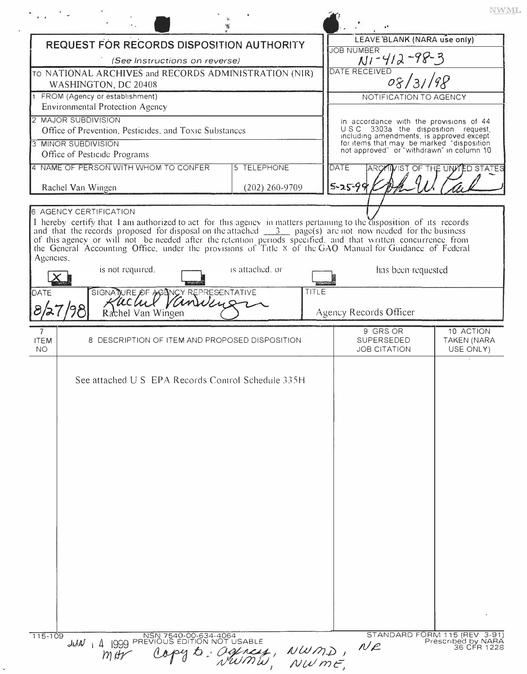|                                                                                      | <b>REQUEST FOR RECORDS DISPOSITION AUTHORITY</b>                                              |                          | LEAVE BLANK (NARA use only) |                                                                                                                             |                                                                        |
|--------------------------------------------------------------------------------------|-----------------------------------------------------------------------------------------------|--------------------------|-----------------------------|-----------------------------------------------------------------------------------------------------------------------------|------------------------------------------------------------------------|
| (See Instructions on reverse)                                                        |                                                                                               |                          |                             | <b>JOB NUMBER</b><br>$N1 - 412 - 98 - 3$                                                                                    |                                                                        |
|                                                                                      | TO NATIONAL ARCHIVES and RECORDS ADMINISTRATION (NIR)                                         |                          |                             | DATE RECEIVED                                                                                                               |                                                                        |
| WASHINGTON, DC 20408                                                                 |                                                                                               |                          |                             | 08/31/98                                                                                                                    |                                                                        |
| FROM (Agency or establishment)<br>Environmental Protection Agency                    |                                                                                               |                          |                             | NOTIFICATION TO AGENCY                                                                                                      |                                                                        |
| <b>2 MAJOR SUBDIVISION</b>                                                           |                                                                                               |                          |                             | In accordance with the provisions of 44                                                                                     |                                                                        |
| Office of Prevention, Pesticides, and Toxic Substances<br><b>3 MINOR SUBDIVISION</b> |                                                                                               |                          |                             | USC 3303a the disposition request,<br>including amendments, is approved except<br>for items that may be marked "disposition |                                                                        |
| Office of Pesticide Programs                                                         |                                                                                               |                          |                             | not approved" or "withdrawn" in column 10                                                                                   |                                                                        |
|                                                                                      | 4 NAME OF PERSON WITH WHOM TO CONFER                                                          | <b>5 TELEPHONE</b>       |                             | <b>DATE</b>                                                                                                                 | ARCAINIST OF THE UNITED STATES                                         |
| Rachel Van Wingen                                                                    |                                                                                               | $(202)$ 260-9709         |                             | $5 - 25 - 99$                                                                                                               |                                                                        |
| <b>6 AGENCY CERTIFICATION</b>                                                        |                                                                                               |                          |                             |                                                                                                                             |                                                                        |
| Agencies,<br>DATE                                                                    | is not required.<br>SIGNATURE OF AGANCY REPRESENTATIVE<br>Kachel Vanwens<br>Rachel Van Wingen | is attached, or<br>TITLE |                             | has been requested<br>Agency Records Officer                                                                                |                                                                        |
| $\overline{7}$                                                                       |                                                                                               |                          |                             | 9 GRS OR                                                                                                                    | 10 ACTION                                                              |
| <b>ITEM</b><br>8<br><b>NO</b>                                                        | DESCRIPTION OF ITEM AND PROPOSED DISPOSITION                                                  |                          |                             | SUPERSEDED<br><b>JOB CITATION</b>                                                                                           | TAKEN (NARA<br>USE ONLY)                                               |
|                                                                                      | See attached U S EPA Records Control Schedule 335H                                            |                          |                             |                                                                                                                             |                                                                        |
| 115-109                                                                              | NOT TEAD-00-634-4064<br>$M$ th                                                                | Capy to concess, NWMD,   |                             | $N_{\ell}$                                                                                                                  | ×<br>STANDARD FORM 115 (REV 3-91)<br>Prescribed by NARA<br>36 CFR 1228 |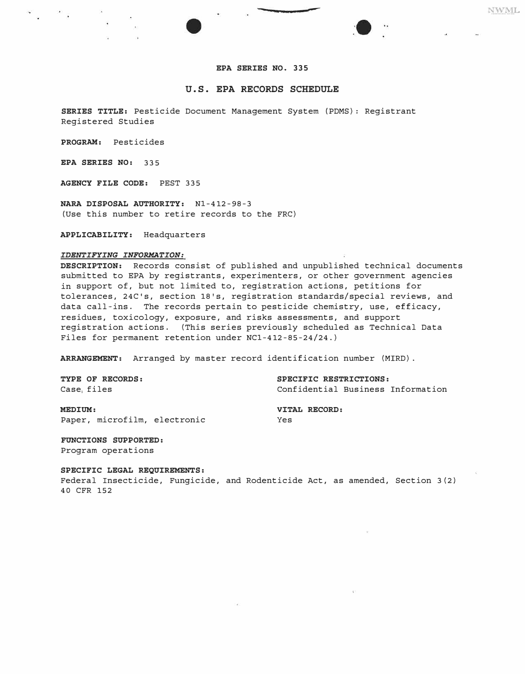---

**NWML** 

## **U.S. EPA RECORDS SCHEDULE**

**SERIES TITLE:** Pesticide Document Management System (PDMS): Registrant Registered Studies

**PROGRAM:** Pesticides

**EPA SERIES NO:** 335

**AGENCY FILE CODE:** PEST 335

**NARA DISPOSAL AUTHORITY:** Nl-412-98-3 (Use this number to retire records to the FRC)

**APPLICABILITY:** Headquarters

#### *IDENTIFYING INFORMATION:*

**DESCRIPTION:** Records consist of published and unpublished technical documents submitted to EPA by registrants, experimenters, or other government agencies in support of, but not limited to, registration actions, petitions for tolerances, 24C's, section 18's, registration standards/special reviews, and data call-ins. The records pertain to pesticide chemistry, use, efficacy, residues, toxicology, exposure, and risks assessments, and support registration actions. (This series previously scheduled as Technical Data Files for permanent retention under NCl-412-85-24/24.)

**ARRANGEMENT:** Arranged by master record identification number (MIRD).

**TYPE OF RECORDS:** SPECIFIC RESTRICTIONS:<br>
Case files Confidential Business Confidential Business Information

**MEDIUM: VITAL RECORD:** 

Paper, microfilm, electronic Yes

**FUNCTIONS SUPPORTED:**  Program operations

#### **SPECIFIC LEGAL REQUIREMENTS:**

Federal Insecticide, Fungicide, and Rodenticide Act, as amended, Section 3(2) 40 CFR 152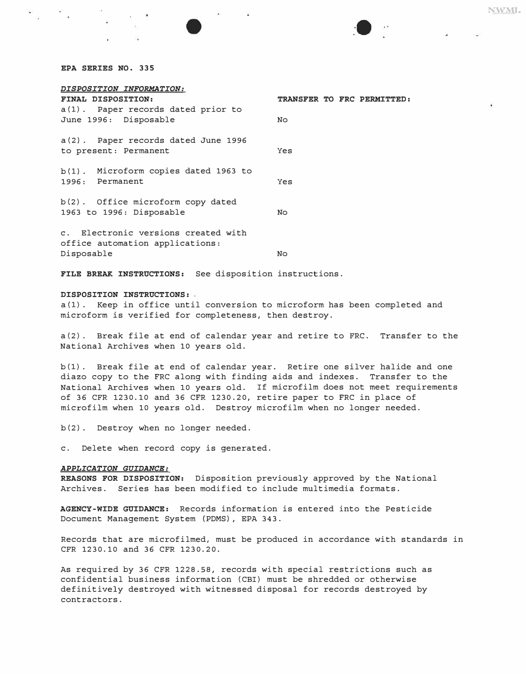

*FINAL DISPOSITION: TRANSFER TO FRC PERMITTED:* 

## *EPA SERIES NO. 335*

### *DISPOSITION INFORMATION:*

| FINAL DISPOSITION:                                                                   | <b>TRANSFER TO</b> |
|--------------------------------------------------------------------------------------|--------------------|
| a(1). Paper records dated prior to<br>June 1996: Disposable                          | N <sub>O</sub>     |
| a(2). Paper records dated June 1996<br>to present: Permanent                         | Yes                |
| b(1). Microform copies dated 1963 to<br>1996: Permanent                              | Yes                |
| b(2). Office microform copy dated<br>1963 to 1996: Disposable                        | No.                |
| c. Electronic versions created with<br>office automation applications:<br>Disposable | No                 |

*FILE BREAK INSTRUCTIONS:* See disposition instructions.

## *DISPOSITION INSTRUCTIONS:*

a(l). Keep in office until conversion to microform has been completed and microform is verified for completeness, then destroy.

a(2). Break file at end of calendar year and retire to FRC. Transfer to the National Archives when 10 years old.

b(l). Break file at end of calendar year. Retire one silver halide and one diazo copy to the FRC along with finding aids and indexes. Transfer to the National Archives when 10 years old. If microfilm does not meet requirements of 36 CFR 1230.10 and 36 CFR 1230.20, retire paper to FRC in place of microfilm when 10 years old. Destroy microfilm when no longer needed.

b(2) . Destroy when no longer needed.

c. Delete when record copy is generated.

### *APPLICATION GUIDANCE:*

*REASONS FOR DISPOSITION:* Disposition previously approved by the National Archives. Series has been modified to include multimedia formats.

*AGENCY-WIDE GUIDANCE:* Records information is entered into the Pesticide Document Management System (PDMS) , EPA 343.

Records that are microfilmed, must be produced in accordance with standards in CFR 1230.10 and 36 CFR 1230.20.

As required by 36 CFR 1228.58, records with special restrictions such as confidential business information (CBI) must be shredded or otherwise definitively destroyed with witnessed disposal for records destroyed by contractors.